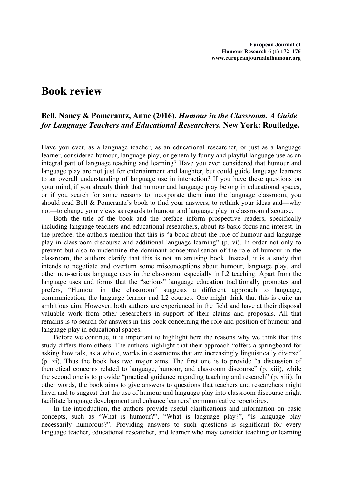## **Book review**

## **Bell, Nancy & Pomerantz, Anne (2016).** *Humour in the Classroom. A Guide for Language Teachers and Educational Researchers***. New York: Routledge.**

Have you ever, as a language teacher, as an educational researcher, or just as a language learner, considered humour, language play, or generally funny and playful language use as an integral part of language teaching and learning? Have you ever considered that humour and language play are not just for entertainment and laughter, but could guide language learners to an overall understanding of language use in interaction? If you have these questions on your mind, if you already think that humour and language play belong in educational spaces, or if you search for some reasons to incorporate them into the language classroom, you should read Bell & Pomerantz's book to find your answers, to rethink your ideas and—why not—to change your views as regards to humour and language play in classroom discourse.

Both the title of the book and the preface inform prospective readers, specifically including language teachers and educational researchers, about its basic focus and interest. In the preface, the authors mention that this is "a book about the role of humour and language play in classroom discourse and additional language learning" (p. vi). In order not only to prevent but also to undermine the dominant conceptualisation of the role of humour in the classroom, the authors clarify that this is not an amusing book. Instead, it is a study that intends to negotiate and overturn some misconceptions about humour, language play, and other non-serious language uses in the classroom, especially in L2 teaching. Apart from the language uses and forms that the "serious" language education traditionally promotes and prefers, "Humour in the classroom" suggests a different approach to language, communication, the language learner and L2 courses. One might think that this is quite an ambitious aim. However, both authors are experienced in the field and have at their disposal valuable work from other researchers in support of their claims and proposals. All that remains is to search for answers in this book concerning the role and position of humour and language play in educational spaces.

Before we continue, it is important to highlight here the reasons why we think that this study differs from others. The authors highlight that their approach "offers a springboard for asking how talk, as a whole, works in classrooms that are increasingly linguistically diverse" (p. xi). Thus the book has two major aims. The first one is to provide "a discussion of theoretical concerns related to language, humour, and classroom discourse" (p. xiii), while the second one is to provide "practical guidance regarding teaching and research" (p. xiii). In other words, the book aims to give answers to questions that teachers and researchers might have, and to suggest that the use of humour and language play into classroom discourse might facilitate language development and enhance learners' communicative repertoires.

In the introduction, the authors provide useful clarifications and information on basic concepts, such as "What is humour?", "What is language play?", "Is language play necessarily humorous?". Providing answers to such questions is significant for every language teacher, educational researcher, and learner who may consider teaching or learning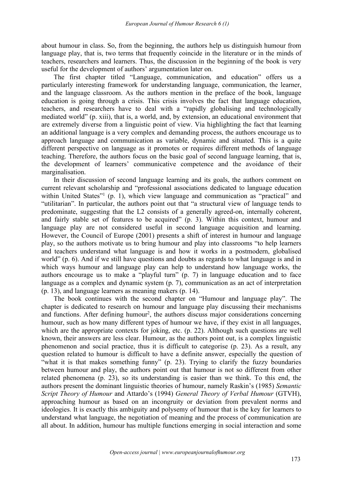about humour in class. So, from the beginning, the authors help us distinguish humour from language play, that is, two terms that frequently coincide in the literature or in the minds of teachers, researchers and learners. Thus, the discussion in the beginning of the book is very useful for the development of authors' argumentation later on.

The first chapter titled "Language, communication, and education" offers us a particularly interesting framework for understanding language, communication, the learner, and the language classroom. As the authors mention in the preface of the book, language education is going through a crisis. This crisis involves the fact that language education, teachers, and researchers have to deal with a "rapidly globalising and technologically mediated world" (p. xiii), that is, a world, and, by extension, an educational environment that are extremely diverse from a linguistic point of view. Via highlighting the fact that learning an additional language is a very complex and demanding process, the authors encourage us to approach language and communication as variable, dynamic and situated. This is a quite different perspective on language as it promotes or requires different methods of language teaching. Therefore, the authors focus on the basic goal of second language learning, that is, the development of learners' communicative competence and the avoidance of their marginalisation.

In their discussion of second language learning and its goals, the authors comment on current relevant scholarship and "professional associations dedicated to language education within United States["](#page-4-0)<sup>1</sup> (p. 1), which view language and communication as "practical" and "utilitarian". In particular, the authors point out that "a structural view of language tends to predominate, suggesting that the L2 consists of a generally agreed-on, internally coherent, and fairly stable set of features to be acquired" (p. 3). Within this context, humour and language play are not considered useful in second language acquisition and learning. However, the Council of Europe (2001) presents a shift of interest in humour and language play, so the authors motivate us to bring humour and play into classrooms "to help learners and teachers understand what language is and how it works in a postmodern, globalised world" (p. 6). And if we still have questions and doubts as regards to what language is and in which ways humour and language play can help to understand how language works, the authors encourage us to make a "playful turn" (p. 7) in language education and to face language as a complex and dynamic system (p. 7), communication as an act of interpretation (p. 13), and language learners as meaning makers (p. 14).

The book continues with the second chapter on "Humour and language play". The chapter is dedicated to research on humour and language play discussing their mechanisms and functions. Afte[r](#page-4-1) defining humour<sup>2</sup>, the authors discuss major considerations concerning humour, such as how many different types of humour we have, if they exist in all languages, which are the appropriate contexts for joking, etc. (p. 22). Although such questions are well known, their answers are less clear. Humour, as the authors point out, is a complex linguistic phenomenon and social practice, thus it is difficult to categorise (p. 23). As a result, any question related to humour is difficult to have a definite answer, especially the question of "what it is that makes something funny" (p.23). Trying to clarify the fuzzy boundaries between humour and play, the authors point out that humour is not so different from other related phenomena (p. 23), so its understanding is easier than we think. To this end, the authors present the dominant linguistic theories of humour, namely Raskin's (1985) *Semantic Script Theory of Humour* and Attardo's (1994) *General Theory of Verbal Humour* (GTVH), approaching humour as based on an incongruity or deviation from prevalent norms and ideologies. It is exactly this ambiguity and polysemy of humour that is the key for learners to understand what language, the negotiation of meaning and the process of communication are all about. In addition, humour has multiple functions emerging in social interaction and some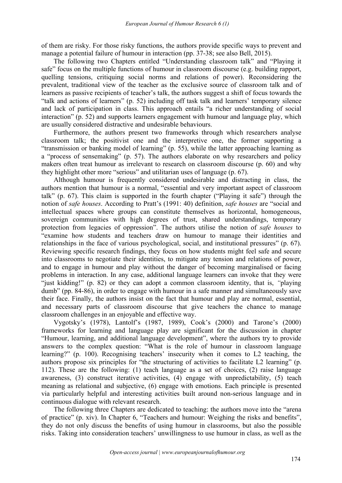of them are risky. For those risky functions, the authors provide specific ways to prevent and manage a potential failure of humour in interaction (pp. 37-38; see also Bell, 2015).

The following two Chapters entitled "Understanding classroom talk" and "Playing it safe" focus on the multiple functions of humour in classroom discourse (e.g. building rapport, quelling tensions, critiquing social norms and relations of power). Reconsidering the prevalent, traditional view of the teacher as the exclusive source of classroom talk and of learners as passive recipients of teacher's talk, the authors suggest a shift of focus towards the "talk and actions of learners" (p. 52) including off task talk and learners' temporary silence and lack of participation in class. This approach entails "a richer understanding of social interaction" (p. 52) and supports learners engagement with humour and language play, which are usually considered distractive and undesirable behaviours.

Furthermore, the authors present two frameworks through which researchers analyse classroom talk; the positivist one and the interpretive one, the former supporting a "transmission or banking model of learning" (p. 55), while the latter approaching learning as a "process of sensemaking" (p. 57). The authors elaborate on why researchers and policy makers often treat humour as irrelevant to research on classroom discourse (p. 60) and why they highlight other more "serious" and utilitarian uses of language (p. 67).

Although humour is frequently considered undesirable and distracting in class, the authors mention that humour is a normal, "essential and very important aspect of classroom talk" (p. 67). This claim is supported in the fourth chapter ("Playing it safe") through the notion of *safe houses*. According to Pratt's (1991: 40) definition, *safe houses* are "social and intellectual spaces where groups can constitute themselves as horizontal, homogeneous, sovereign communities with high degrees of trust, shared understandings, temporary protection from legacies of oppression". The authors utilise the notion of *safe houses* to "examine how students and teachers draw on humour to manage their identities and relationships in the face of various psychological, social, and institutional pressures" (p. 67). Reviewing specific research findings, they focus on how students might feel safe and secure into classrooms to negotiate their identities, to mitigate any tension and relations of power, and to engage in humour and play without the danger of becoming marginalised or facing problems in interaction. In any case, additional language learners can invoke that they were "just kidding!" (p. 82) or they can adopt a common classroom identity, that is, *"*playing dumb" (pp. 84-86), in order to engage with humour in a safe manner and simultaneously save their face. Finally, the authors insist on the fact that humour and play are normal, essential, and necessary parts of classroom discourse that give teachers the chance to manage classroom challenges in an enjoyable and effective way.

Vygotsky's (1978), Lantolf's (1987, 1989), Cook's (2000) and Tarone's (2000) frameworks for learning and language play are significant for the discussion in chapter "Humour, learning, and additional language development", where the authors try to provide answers to the complex question:"What is the role of humour in classroom language learning?" (p. 100). Recognising teachers' insecurity when it comes to L2 teaching, the authors propose six principles for "the structuring of activities to facilitate L2 learning" (p. 112). These are the following: (1) teach language as a set of choices, (2) raise language awareness, (3) construct iterative activities, (4) engage with unpredictability, (5) teach meaning as relational and subjective, (6) engage with emotions. Each principle is presented via particularly helpful and interesting activities built around non-serious language and in continuous dialogue with relevant research.

The following three Chapters are dedicated to teaching: the authors move into the "arena of practice" (p. xiv). In Chapter 6, "Teachers and humour: Weighing the risks and benefits", they do not only discuss the benefits of using humour in classrooms, but also the possible risks. Taking into consideration teachers' unwillingness to use humour in class, as well as the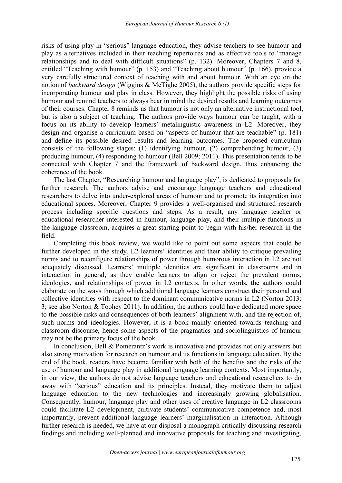risks of using play in "serious" language education, they advise teachers to see humour and play as alternatives included in their teaching repertoires and as effective tools to "manage relationships and to deal with difficult situations" (p. 132). Moreover, Chapters 7 and 8, entitled "Teaching with humour" (p. 153) and "Teaching about humour" (p. 166), provide a very carefully structured context of teaching with and about humour. With an eye on the notion of *backward design* (Wiggins & McTighe 2005), the authors provide specific steps for incorporating humour and play in class. However, they highlight the possible risks of using humour and remind teachers to always bear in mind the desired results and learning outcomes of their courses. Chapter 8 reminds us that humour is not only an alternative instructional tool, but is also a subject of teaching. The authors provide ways humour can be taught, with a focus on its ability to develop learners' metalinguistic awareness in L2. Moreover, they design and organise a curriculum based on "aspects of humour that are teachable" (p. 181) and define its possible desired results and learning outcomes. The proposed curriculum consists of the following stages: (1) identifying humour, (2) comprehending humour, (3) producing humour, (4) responding to humour (Bell 2009; 2011). This presentation tends to be connected with Chapter 7 and the framework of backward design, thus enhancing the coherence of the book.

The last Chapter, "Researching humour and language play", is dedicated to proposals for further research. The authors advise and encourage language teachers and educational researchers to delve into under-explored areas of humour and to promote its integration into educational spaces. Moreover, Chapter 9 provides a well-organised and structured research process including specific questions and steps. As a result, any language teacher or educational researcher interested in humour, language play, and their multiple functions in the language classroom, acquires a great starting point to begin with his/her research in the field.<br>Completing this book review, we would like to point out some aspects that could be

further developed in the study. L2 learners' identities and their ability to critique prevailing norms and to reconfigure relationships of power through humorous interaction in L2 are not adequately discussed. Learners' multiple identities are significant in classrooms and in interaction in general, as they enable learners to align or reject the prevalent norms, ideologies, and relationships of power in L2 contexts. In other words, the authors could elaborate on the ways through which additional language learners construct their personal and collective identities with respect to the dominant communicative norms in L2 (Norton 2013: 3; see also Norton & Toohey 2011). In addition, the authors could have dedicated more space to the possible risks and consequences of both learners' alignment with, and the rejection of, such norms and ideologies. However, it is a book mainly oriented towards teaching and classroom discourse, hence some aspects of the pragmatics and sociolinguistics of humour may not be the primary focus of the book.

In conclusion, Bell & Pomerantz's work is innovative and provides not only answers but also strong motivation for research on humour and its functions in language education. By the end of the book, readers have become familiar with both of the benefits and the risks of the use of humour and language play in additional language learning contexts. Most importantly, in our view, the authors do not advise language teachers and educational researchers to do away with "serious" education and its principles. Instead, they motivate them to adjust language education to the new technologies and increasingly growing globalisation. Consequently, humour, language play and other uses of creative language in L2 classrooms could facilitate L2 development, cultivate students' communicative competence and, most importantly, prevent additional language learners' marginalisation in interaction. Although further research is needed, we have at our disposal a monograph critically discussing research findings and including well-planned and innovative proposals for teaching and investigating,